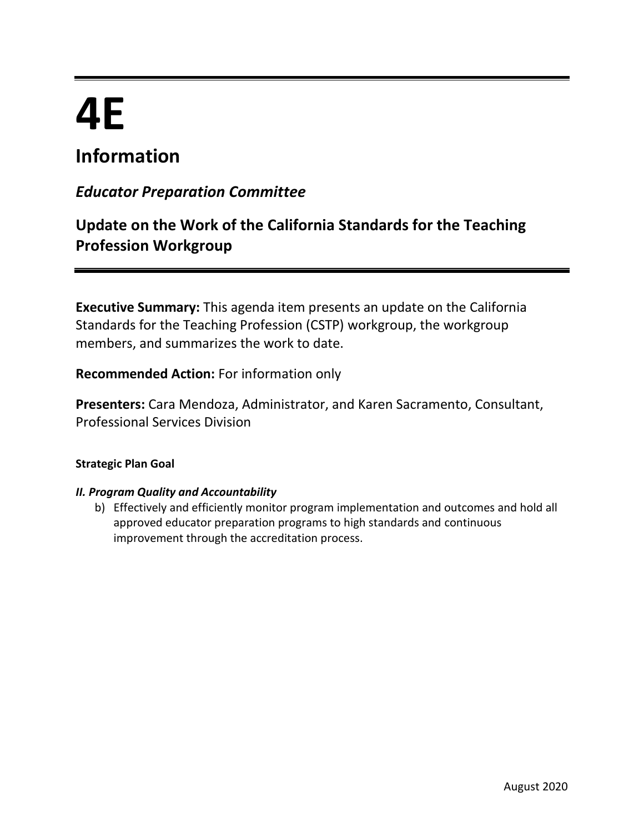# **4E**

## **Information**

## *Educator Preparation Committee*

## **Update on the Work of the California Standards for the Teaching Profession Workgroup**

**Executive Summary:** This agenda item presents an update on the California Standards for the Teaching Profession (CSTP) workgroup, the workgroup members, and summarizes the work to date.

**Recommended Action:** For information only

**Presenters:** Cara Mendoza, Administrator, and Karen Sacramento, Consultant, Professional Services Division

#### **Strategic Plan Goal**

#### *II. Program Quality and Accountability*

b) Effectively and efficiently monitor program implementation and outcomes and hold all approved educator preparation programs to high standards and continuous improvement through the accreditation process.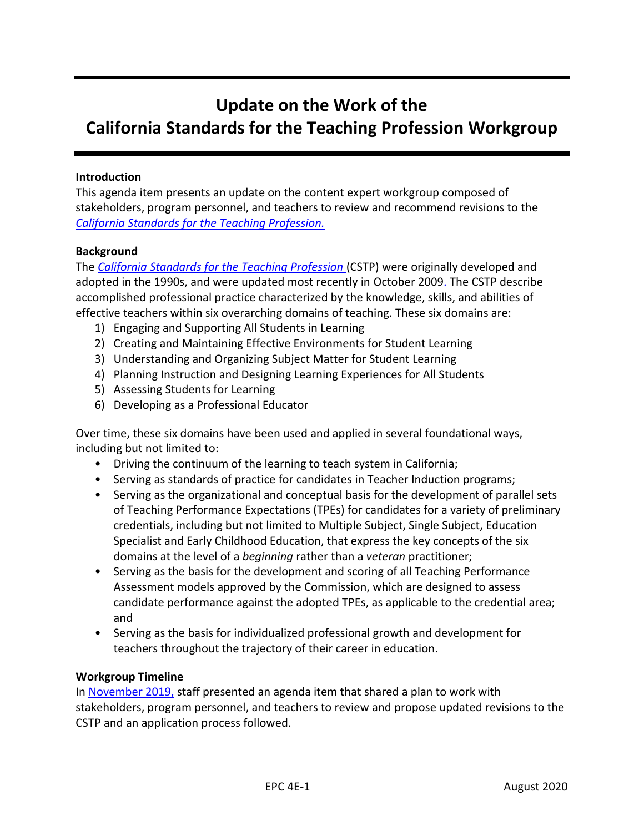## **Update on the Work of the California Standards for the Teaching Profession Workgroup**

#### **Introduction**

This agenda item presents an update on the content expert workgroup composed of stakeholders, program personnel, and teachers to review and recommend revisions to the *[California Standards for the Teaching Profession.](https://www.ctc.ca.gov/docs/default-source/educator-prep/standards/cstp-2009.pdf)*

#### **Background**

The *[California Standards for the Teaching Profession](https://www.ctc.ca.gov/docs/default-source/educator-prep/standards/cstp-2009.pdf)* (CSTP) were originally developed and adopted in the 1990s, and were updated most recently in October 2009. The CSTP describe accomplished professional practice characterized by the knowledge, skills, and abilities of effective teachers within six overarching domains of teaching. These six domains are:

- 1) Engaging and Supporting All Students in Learning
- 2) Creating and Maintaining Effective Environments for Student Learning
- 3) Understanding and Organizing Subject Matter for Student Learning
- 4) Planning Instruction and Designing Learning Experiences for All Students
- 5) Assessing Students for Learning
- 6) Developing as a Professional Educator

Over time, these six domains have been used and applied in several foundational ways, including but not limited to:

- Driving the continuum of the learning to teach system in California;
- Serving as standards of practice for candidates in Teacher Induction programs;
- Serving as the organizational and conceptual basis for the development of parallel sets of Teaching Performance Expectations (TPEs) for candidates for a variety of preliminary credentials, including but not limited to Multiple Subject, Single Subject, Education Specialist and Early Childhood Education, that express the key concepts of the six domains at the level of a *beginning* rather than a *veteran* practitioner;
- Serving as the basis for the development and scoring of all Teaching Performance Assessment models approved by the Commission, which are designed to assess candidate performance against the adopted TPEs, as applicable to the credential area; and
- Serving as the basis for individualized professional growth and development for teachers throughout the trajectory of their career in education.

#### **Workgroup Timeline**

In [November 2019,](https://www.ctc.ca.gov/docs/default-source/commission/agendas/2019-11/2019-11-3i.pdf?sfvrsn=aa922db1_2) staff presented an agenda item that shared a plan to work with stakeholders, program personnel, and teachers to review and propose updated revisions to the CSTP and an application process followed.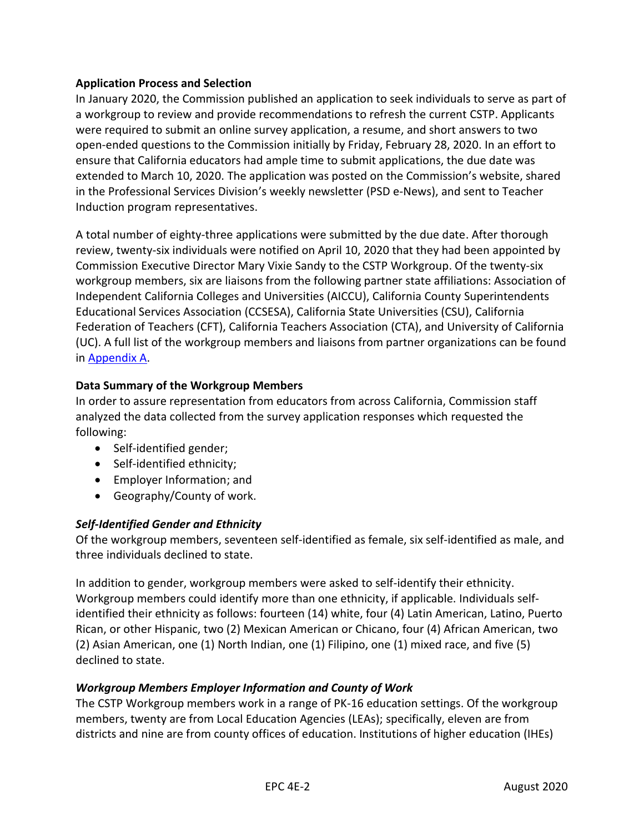#### **Application Process and Selection**

In January 2020, the Commission published an application to seek individuals to serve as part of a workgroup to review and provide recommendations to refresh the current CSTP. Applicants were required to submit an online survey application, a resume, and short answers to two open-ended questions to the Commission initially by Friday, February 28, 2020. In an effort to ensure that California educators had ample time to submit applications, the due date was extended to March 10, 2020. The application was posted on the Commission's website, shared in the Professional Services Division's weekly newsletter (PSD e-News), and sent to Teacher Induction program representatives.

A total number of eighty-three applications were submitted by the due date. After thorough review, twenty-six individuals were notified on April 10, 2020 that they had been appointed by Commission Executive Director Mary Vixie Sandy to the CSTP Workgroup. Of the twenty-six workgroup members, six are liaisons from the following partner state affiliations: Association of Independent California Colleges and Universities (AICCU), California County Superintendents Educational Services Association (CCSESA), California State Universities (CSU), California Federation of Teachers (CFT), California Teachers Association (CTA), and University of California (UC). A full list of the workgroup members and liaisons from partner organizations can be found in [Appendix A.](#page-5-0)

#### **Data Summary of the Workgroup Members**

In order to assure representation from educators from across California, Commission staff analyzed the data collected from the survey application responses which requested the following:

- Self-identified gender;
- Self-identified ethnicity;
- Employer Information; and
- Geography/County of work.

#### *Self-Identified Gender and Ethnicity*

Of the workgroup members, seventeen self-identified as female, six self-identified as male, and three individuals declined to state.

In addition to gender, workgroup members were asked to self-identify their ethnicity. Workgroup members could identify more than one ethnicity, if applicable. Individuals selfidentified their ethnicity as follows: fourteen (14) white, four (4) Latin American, Latino, Puerto Rican, or other Hispanic, two (2) Mexican American or Chicano, four (4) African American, two (2) Asian American, one (1) North Indian, one (1) Filipino, one (1) mixed race, and five (5) declined to state.

#### *Workgroup Members Employer Information and County of Work*

The CSTP Workgroup members work in a range of PK-16 education settings. Of the workgroup members, twenty are from Local Education Agencies (LEAs); specifically, eleven are from districts and nine are from county offices of education. Institutions of higher education (IHEs)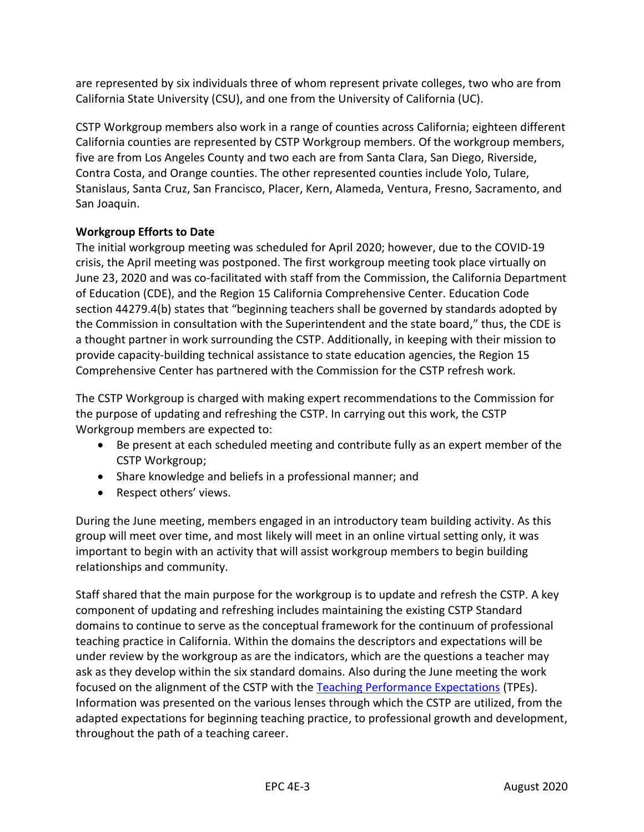are represented by six individuals three of whom represent private colleges, two who are from California State University (CSU), and one from the University of California (UC).

CSTP Workgroup members also work in a range of counties across California; eighteen different California counties are represented by CSTP Workgroup members. Of the workgroup members, five are from Los Angeles County and two each are from Santa Clara, San Diego, Riverside, Contra Costa, and Orange counties. The other represented counties include Yolo, Tulare, Stanislaus, Santa Cruz, San Francisco, Placer, Kern, Alameda, Ventura, Fresno, Sacramento, and San Joaquin.

#### **Workgroup Efforts to Date**

The initial workgroup meeting was scheduled for April 2020; however, due to the COVID-19 crisis, the April meeting was postponed. The first workgroup meeting took place virtually on June 23, 2020 and was co-facilitated with staff from the Commission, the California Department of Education (CDE), and the Region 15 California Comprehensive Center. Education Code section 44279.4(b) states that "beginning teachers shall be governed by standards adopted by the Commission in consultation with the Superintendent and the state board," thus, the CDE is a thought partner in work surrounding the CSTP. Additionally, in keeping with their mission to provide capacity-building technical assistance to state education agencies, the Region 15 Comprehensive Center has partnered with the Commission for the CSTP refresh work.

The CSTP Workgroup is charged with making expert recommendations to the Commission for the purpose of updating and refreshing the CSTP. In carrying out this work, the CSTP Workgroup members are expected to:

- Be present at each scheduled meeting and contribute fully as an expert member of the CSTP Workgroup;
- Share knowledge and beliefs in a professional manner; and
- Respect others' views.

During the June meeting, members engaged in an introductory team building activity. As this group will meet over time, and most likely will meet in an online virtual setting only, it was important to begin with an activity that will assist workgroup members to begin building relationships and community.

Staff shared that the main purpose for the workgroup is to update and refresh the CSTP. A key component of updating and refreshing includes maintaining the existing CSTP Standard domains to continue to serve as the conceptual framework for the continuum of professional teaching practice in California. Within the domains the descriptors and expectations will be under review by the workgroup as are the indicators, which are the questions a teacher may ask as they develop within the six standard domains. Also during the June meeting the work focused on the alignment of the CSTP with the [Teaching Performance Expectations](https://www.ctc.ca.gov/docs/default-source/educator-prep/standards/adopted-tpes-2016.pdf?sfvrsn=0) (TPEs). Information was presented on the various lenses through which the CSTP are utilized, from the adapted expectations for beginning teaching practice, to professional growth and development, throughout the path of a teaching career.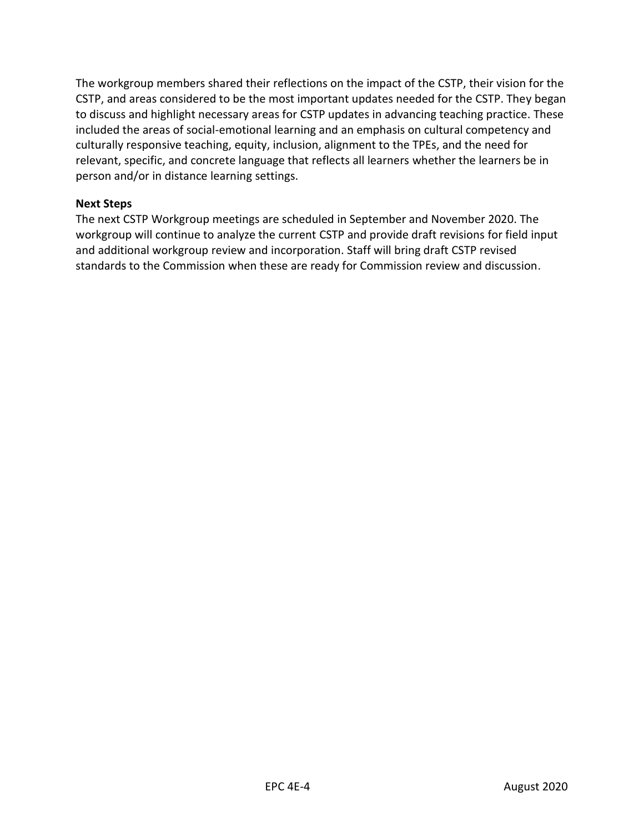The workgroup members shared their reflections on the impact of the CSTP, their vision for the CSTP, and areas considered to be the most important updates needed for the CSTP. They began to discuss and highlight necessary areas for CSTP updates in advancing teaching practice. These included the areas of social-emotional learning and an emphasis on cultural competency and culturally responsive teaching, equity, inclusion, alignment to the TPEs, and the need for relevant, specific, and concrete language that reflects all learners whether the learners be in person and/or in distance learning settings.

#### **Next Steps**

The next CSTP Workgroup meetings are scheduled in September and November 2020. The workgroup will continue to analyze the current CSTP and provide draft revisions for field input and additional workgroup review and incorporation. Staff will bring draft CSTP revised standards to the Commission when these are ready for Commission review and discussion.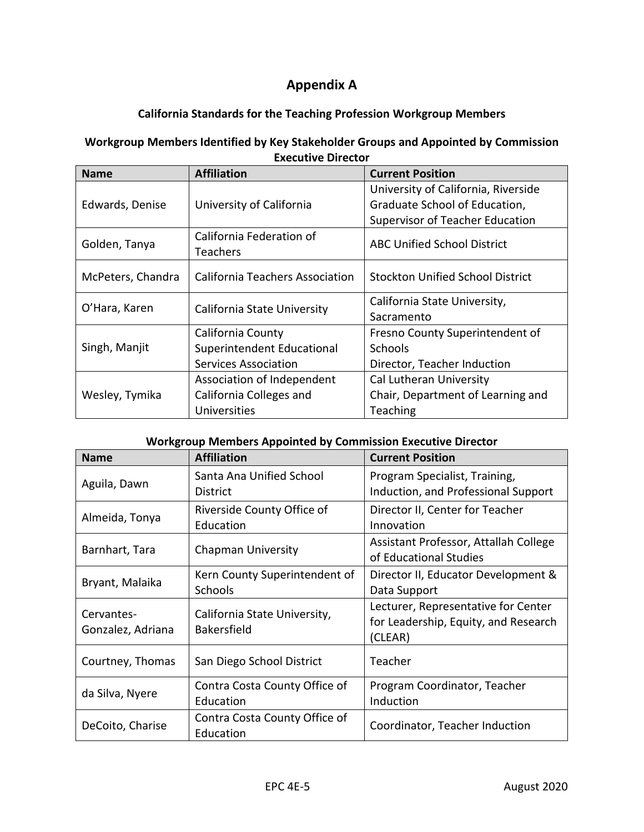### **Appendix A**

#### **California Standards for the Teaching Profession Workgroup Members**

#### <span id="page-5-0"></span>**Workgroup Members Identified by Key Stakeholder Groups and Appointed by Commission Executive Director**

| <b>Name</b>       | <b>Affiliation</b>              | <b>Current Position</b>                 |
|-------------------|---------------------------------|-----------------------------------------|
| Edwards, Denise   | University of California        | University of California, Riverside     |
|                   |                                 | Graduate School of Education,           |
|                   |                                 | <b>Supervisor of Teacher Education</b>  |
| Golden, Tanya     | California Federation of        | <b>ABC Unified School District</b>      |
|                   | Teachers                        |                                         |
| McPeters, Chandra | California Teachers Association | <b>Stockton Unified School District</b> |
|                   |                                 |                                         |
| Sacramento        |                                 |                                         |
| Singh, Manjit     | California County               | Fresno County Superintendent of         |
|                   | Superintendent Educational      | <b>Schools</b>                          |
|                   | <b>Services Association</b>     | Director, Teacher Induction             |
| Wesley, Tymika    | Association of Independent      | Cal Lutheran University                 |
|                   | California Colleges and         | Chair, Department of Learning and       |
|                   | Universities                    | Teaching                                |

#### **Workgroup Members Appointed by Commission Executive Director**

| <b>Name</b>                     | <b>Affiliation</b>                                 | <b>Current Position</b>                                                                |
|---------------------------------|----------------------------------------------------|----------------------------------------------------------------------------------------|
| Aguila, Dawn                    | Santa Ana Unified School<br>District               | Program Specialist, Training,<br>Induction, and Professional Support                   |
| Almeida, Tonya                  | Riverside County Office of<br>Education            | Director II, Center for Teacher<br>Innovation                                          |
| Barnhart, Tara                  | <b>Chapman University</b>                          | Assistant Professor, Attallah College<br>of Educational Studies                        |
| Bryant, Malaika                 | Kern County Superintendent of<br><b>Schools</b>    | Director II, Educator Development &<br>Data Support                                    |
| Cervantes-<br>Gonzalez, Adriana | California State University,<br><b>Bakersfield</b> | Lecturer, Representative for Center<br>for Leadership, Equity, and Research<br>(CLEAR) |
| Courtney, Thomas                | San Diego School District                          | Teacher                                                                                |
| da Silva, Nyere                 | Contra Costa County Office of<br>Education         | Program Coordinator, Teacher<br>Induction                                              |
| DeCoito, Charise                | Contra Costa County Office of<br>Education         | Coordinator, Teacher Induction                                                         |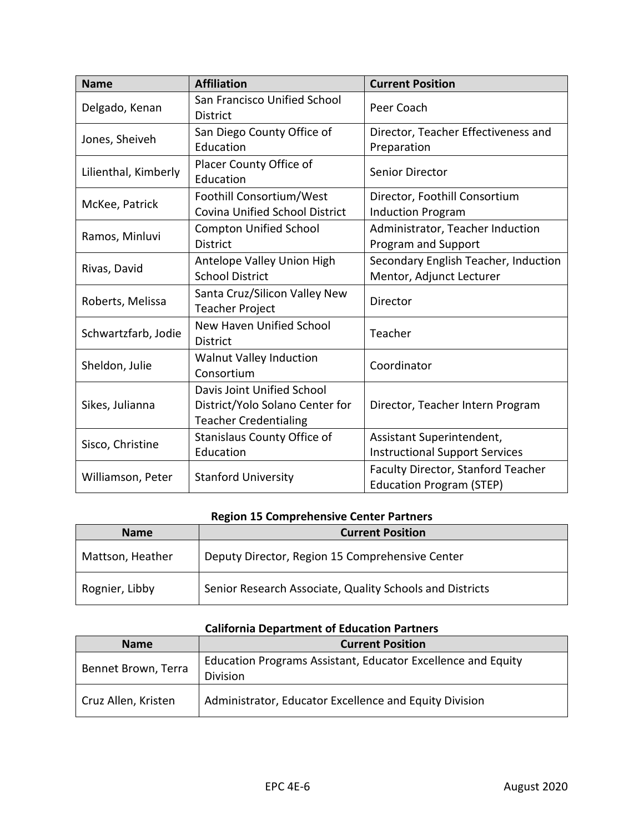| <b>Name</b>          | <b>Affiliation</b>                                                                            | <b>Current Position</b>                                               |
|----------------------|-----------------------------------------------------------------------------------------------|-----------------------------------------------------------------------|
| Delgado, Kenan       | San Francisco Unified School<br><b>District</b>                                               | Peer Coach                                                            |
| Jones, Sheiveh       | San Diego County Office of<br>Education                                                       | Director, Teacher Effectiveness and<br>Preparation                    |
| Lilienthal, Kimberly | Placer County Office of<br>Education                                                          | <b>Senior Director</b>                                                |
| McKee, Patrick       | Foothill Consortium/West<br>Covina Unified School District                                    | Director, Foothill Consortium<br><b>Induction Program</b>             |
| Ramos, Minluvi       | <b>Compton Unified School</b><br><b>District</b>                                              | Administrator, Teacher Induction<br>Program and Support               |
| Rivas, David         | Antelope Valley Union High<br><b>School District</b>                                          | Secondary English Teacher, Induction<br>Mentor, Adjunct Lecturer      |
| Roberts, Melissa     | Santa Cruz/Silicon Valley New<br><b>Teacher Project</b>                                       | Director                                                              |
| Schwartzfarb, Jodie  | New Haven Unified School<br><b>District</b>                                                   | Teacher                                                               |
| Sheldon, Julie       | Walnut Valley Induction<br>Consortium                                                         | Coordinator                                                           |
| Sikes, Julianna      | Davis Joint Unified School<br>District/Yolo Solano Center for<br><b>Teacher Credentialing</b> | Director, Teacher Intern Program                                      |
| Sisco, Christine     | Stanislaus County Office of<br>Education                                                      | Assistant Superintendent,<br><b>Instructional Support Services</b>    |
| Williamson, Peter    | <b>Stanford University</b>                                                                    | Faculty Director, Stanford Teacher<br><b>Education Program (STEP)</b> |

## **Region 15 Comprehensive Center Partners**

| <b>Name</b>      | <b>Current Position</b>                                  |
|------------------|----------------------------------------------------------|
| Mattson, Heather | Deputy Director, Region 15 Comprehensive Center          |
| Rognier, Libby   | Senior Research Associate, Quality Schools and Districts |

#### **California Department of Education Partners**

| <b>Name</b>         | <b>Current Position</b>                                                         |
|---------------------|---------------------------------------------------------------------------------|
| Bennet Brown, Terra | Education Programs Assistant, Educator Excellence and Equity<br><b>Division</b> |
| Cruz Allen, Kristen | Administrator, Educator Excellence and Equity Division                          |